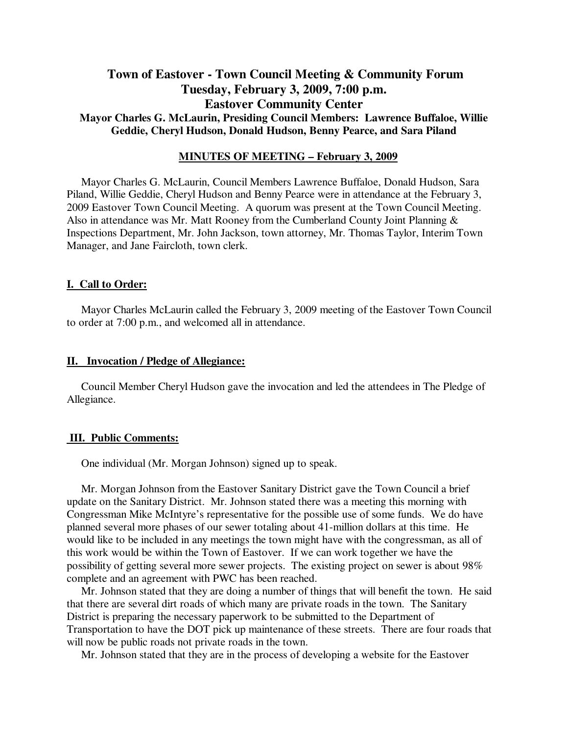# **Town of Eastover - Town Council Meeting & Community Forum Tuesday, February 3, 2009, 7:00 p.m. Eastover Community Center Mayor Charles G. McLaurin, Presiding Council Members: Lawrence Buffaloe, Willie Geddie, Cheryl Hudson, Donald Hudson, Benny Pearce, and Sara Piland**

# **MINUTES OF MEETING – February 3, 2009**

Mayor Charles G. McLaurin, Council Members Lawrence Buffaloe, Donald Hudson, Sara Piland, Willie Geddie, Cheryl Hudson and Benny Pearce were in attendance at the February 3, 2009 Eastover Town Council Meeting. A quorum was present at the Town Council Meeting. Also in attendance was Mr. Matt Rooney from the Cumberland County Joint Planning & Inspections Department, Mr. John Jackson, town attorney, Mr. Thomas Taylor, Interim Town Manager, and Jane Faircloth, town clerk.

#### **I. Call to Order:**

Mayor Charles McLaurin called the February 3, 2009 meeting of the Eastover Town Council to order at 7:00 p.m., and welcomed all in attendance.

### **II. Invocation / Pledge of Allegiance:**

 Council Member Cheryl Hudson gave the invocation and led the attendees in The Pledge of Allegiance.

# **III. Public Comments:**

One individual (Mr. Morgan Johnson) signed up to speak.

 Mr. Morgan Johnson from the Eastover Sanitary District gave the Town Council a brief update on the Sanitary District. Mr. Johnson stated there was a meeting this morning with Congressman Mike McIntyre's representative for the possible use of some funds. We do have planned several more phases of our sewer totaling about 41-million dollars at this time. He would like to be included in any meetings the town might have with the congressman, as all of this work would be within the Town of Eastover. If we can work together we have the possibility of getting several more sewer projects. The existing project on sewer is about 98% complete and an agreement with PWC has been reached.

 Mr. Johnson stated that they are doing a number of things that will benefit the town. He said that there are several dirt roads of which many are private roads in the town. The Sanitary District is preparing the necessary paperwork to be submitted to the Department of Transportation to have the DOT pick up maintenance of these streets. There are four roads that will now be public roads not private roads in the town.

Mr. Johnson stated that they are in the process of developing a website for the Eastover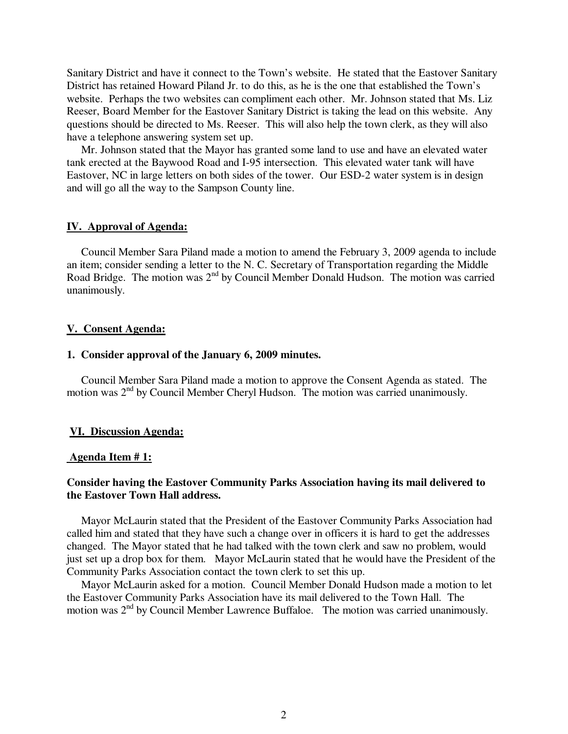Sanitary District and have it connect to the Town's website. He stated that the Eastover Sanitary District has retained Howard Piland Jr. to do this, as he is the one that established the Town's website. Perhaps the two websites can compliment each other. Mr. Johnson stated that Ms. Liz Reeser, Board Member for the Eastover Sanitary District is taking the lead on this website. Any questions should be directed to Ms. Reeser. This will also help the town clerk, as they will also have a telephone answering system set up.

 Mr. Johnson stated that the Mayor has granted some land to use and have an elevated water tank erected at the Baywood Road and I-95 intersection. This elevated water tank will have Eastover, NC in large letters on both sides of the tower. Our ESD-2 water system is in design and will go all the way to the Sampson County line.

### **IV. Approval of Agenda:**

 Council Member Sara Piland made a motion to amend the February 3, 2009 agenda to include an item; consider sending a letter to the N. C. Secretary of Transportation regarding the Middle Road Bridge. The motion was 2<sup>nd</sup> by Council Member Donald Hudson. The motion was carried unanimously.

### **V. Consent Agenda:**

#### **1. Consider approval of the January 6, 2009 minutes.**

 Council Member Sara Piland made a motion to approve the Consent Agenda as stated. The motion was 2<sup>nd</sup> by Council Member Cheryl Hudson. The motion was carried unanimously.

#### **VI. Discussion Agenda:**

### **Agenda Item # 1:**

# **Consider having the Eastover Community Parks Association having its mail delivered to the Eastover Town Hall address.**

 Mayor McLaurin stated that the President of the Eastover Community Parks Association had called him and stated that they have such a change over in officers it is hard to get the addresses changed. The Mayor stated that he had talked with the town clerk and saw no problem, would just set up a drop box for them. Mayor McLaurin stated that he would have the President of the Community Parks Association contact the town clerk to set this up.

 Mayor McLaurin asked for a motion. Council Member Donald Hudson made a motion to let the Eastover Community Parks Association have its mail delivered to the Town Hall. The motion was 2<sup>nd</sup> by Council Member Lawrence Buffaloe. The motion was carried unanimously.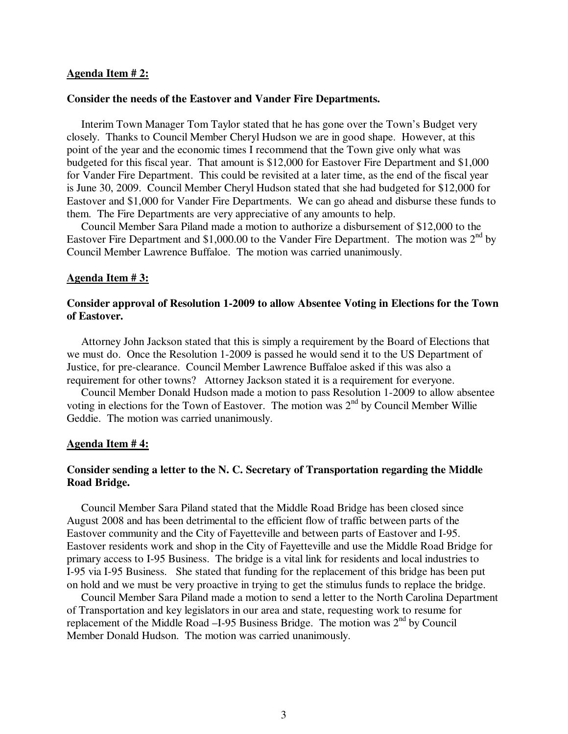### **Agenda Item # 2:**

### **Consider the needs of the Eastover and Vander Fire Departments.**

 Interim Town Manager Tom Taylor stated that he has gone over the Town's Budget very closely. Thanks to Council Member Cheryl Hudson we are in good shape. However, at this point of the year and the economic times I recommend that the Town give only what was budgeted for this fiscal year. That amount is \$12,000 for Eastover Fire Department and \$1,000 for Vander Fire Department. This could be revisited at a later time, as the end of the fiscal year is June 30, 2009. Council Member Cheryl Hudson stated that she had budgeted for \$12,000 for Eastover and \$1,000 for Vander Fire Departments. We can go ahead and disburse these funds to them. The Fire Departments are very appreciative of any amounts to help.

 Council Member Sara Piland made a motion to authorize a disbursement of \$12,000 to the Eastover Fire Department and \$1,000.00 to the Vander Fire Department. The motion was  $2^{nd}$  by Council Member Lawrence Buffaloe. The motion was carried unanimously.

#### **Agenda Item # 3:**

# **Consider approval of Resolution 1-2009 to allow Absentee Voting in Elections for the Town of Eastover.**

 Attorney John Jackson stated that this is simply a requirement by the Board of Elections that we must do. Once the Resolution 1-2009 is passed he would send it to the US Department of Justice, for pre-clearance. Council Member Lawrence Buffaloe asked if this was also a requirement for other towns? Attorney Jackson stated it is a requirement for everyone.

 Council Member Donald Hudson made a motion to pass Resolution 1-2009 to allow absentee voting in elections for the Town of Eastover. The motion was  $2<sup>nd</sup>$  by Council Member Willie Geddie. The motion was carried unanimously.

# **Agenda Item # 4:**

# **Consider sending a letter to the N. C. Secretary of Transportation regarding the Middle Road Bridge.**

 Council Member Sara Piland stated that the Middle Road Bridge has been closed since August 2008 and has been detrimental to the efficient flow of traffic between parts of the Eastover community and the City of Fayetteville and between parts of Eastover and I-95. Eastover residents work and shop in the City of Fayetteville and use the Middle Road Bridge for primary access to I-95 Business. The bridge is a vital link for residents and local industries to I-95 via I-95 Business. She stated that funding for the replacement of this bridge has been put on hold and we must be very proactive in trying to get the stimulus funds to replace the bridge.

 Council Member Sara Piland made a motion to send a letter to the North Carolina Department of Transportation and key legislators in our area and state, requesting work to resume for replacement of the Middle Road  $-$ I-95 Business Bridge. The motion was  $2<sup>nd</sup>$  by Council Member Donald Hudson. The motion was carried unanimously.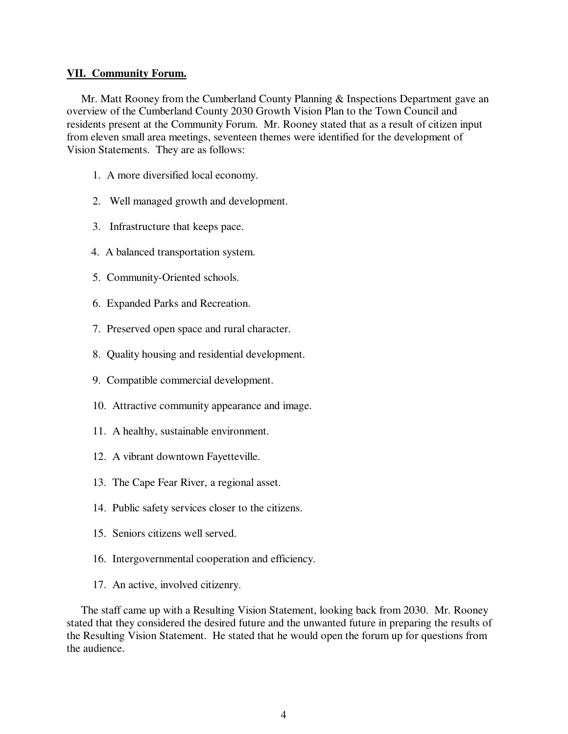# **VII. Community Forum.**

 Mr. Matt Rooney from the Cumberland County Planning & Inspections Department gave an overview of the Cumberland County 2030 Growth Vision Plan to the Town Council and residents present at the Community Forum. Mr. Rooney stated that as a result of citizen input from eleven small area meetings, seventeen themes were identified for the development of Vision Statements. They are as follows:

- 1. A more diversified local economy.
- 2. Well managed growth and development.
- 3. Infrastructure that keeps pace.
- 4. A balanced transportation system.
- 5. Community-Oriented schools.
- 6. Expanded Parks and Recreation.
- 7. Preserved open space and rural character.
- 8. Quality housing and residential development.
- 9. Compatible commercial development.
- 10. Attractive community appearance and image.
- 11. A healthy, sustainable environment.
- 12. A vibrant downtown Fayetteville.
- 13. The Cape Fear River, a regional asset.
- 14. Public safety services closer to the citizens.
- 15. Seniors citizens well served.
- 16. Intergovernmental cooperation and efficiency.
- 17. An active, involved citizenry.

 The staff came up with a Resulting Vision Statement, looking back from 2030. Mr. Rooney stated that they considered the desired future and the unwanted future in preparing the results of the Resulting Vision Statement. He stated that he would open the forum up for questions from the audience.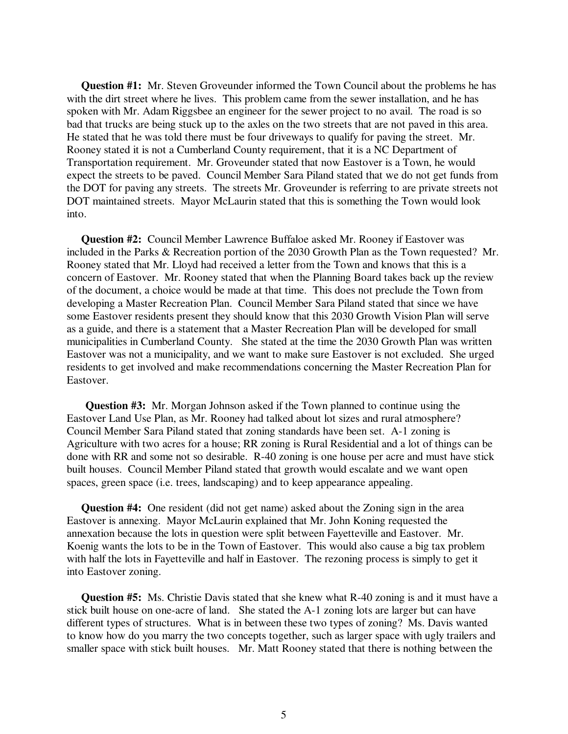**Question #1:** Mr. Steven Groveunder informed the Town Council about the problems he has with the dirt street where he lives. This problem came from the sewer installation, and he has spoken with Mr. Adam Riggsbee an engineer for the sewer project to no avail. The road is so bad that trucks are being stuck up to the axles on the two streets that are not paved in this area. He stated that he was told there must be four driveways to qualify for paving the street. Mr. Rooney stated it is not a Cumberland County requirement, that it is a NC Department of Transportation requirement. Mr. Groveunder stated that now Eastover is a Town, he would expect the streets to be paved. Council Member Sara Piland stated that we do not get funds from the DOT for paving any streets. The streets Mr. Groveunder is referring to are private streets not DOT maintained streets. Mayor McLaurin stated that this is something the Town would look into.

 **Question #2:** Council Member Lawrence Buffaloe asked Mr. Rooney if Eastover was included in the Parks & Recreation portion of the 2030 Growth Plan as the Town requested? Mr. Rooney stated that Mr. Lloyd had received a letter from the Town and knows that this is a concern of Eastover. Mr. Rooney stated that when the Planning Board takes back up the review of the document, a choice would be made at that time. This does not preclude the Town from developing a Master Recreation Plan. Council Member Sara Piland stated that since we have some Eastover residents present they should know that this 2030 Growth Vision Plan will serve as a guide, and there is a statement that a Master Recreation Plan will be developed for small municipalities in Cumberland County. She stated at the time the 2030 Growth Plan was written Eastover was not a municipality, and we want to make sure Eastover is not excluded. She urged residents to get involved and make recommendations concerning the Master Recreation Plan for Eastover.

 **Question #3:** Mr. Morgan Johnson asked if the Town planned to continue using the Eastover Land Use Plan, as Mr. Rooney had talked about lot sizes and rural atmosphere? Council Member Sara Piland stated that zoning standards have been set. A-1 zoning is Agriculture with two acres for a house; RR zoning is Rural Residential and a lot of things can be done with RR and some not so desirable. R-40 zoning is one house per acre and must have stick built houses. Council Member Piland stated that growth would escalate and we want open spaces, green space (i.e. trees, landscaping) and to keep appearance appealing.

 **Question #4:** One resident (did not get name) asked about the Zoning sign in the area Eastover is annexing. Mayor McLaurin explained that Mr. John Koning requested the annexation because the lots in question were split between Fayetteville and Eastover. Mr. Koenig wants the lots to be in the Town of Eastover. This would also cause a big tax problem with half the lots in Fayetteville and half in Eastover. The rezoning process is simply to get it into Eastover zoning.

 **Question #5:** Ms. Christie Davis stated that she knew what R-40 zoning is and it must have a stick built house on one-acre of land. She stated the A-1 zoning lots are larger but can have different types of structures. What is in between these two types of zoning? Ms. Davis wanted to know how do you marry the two concepts together, such as larger space with ugly trailers and smaller space with stick built houses. Mr. Matt Rooney stated that there is nothing between the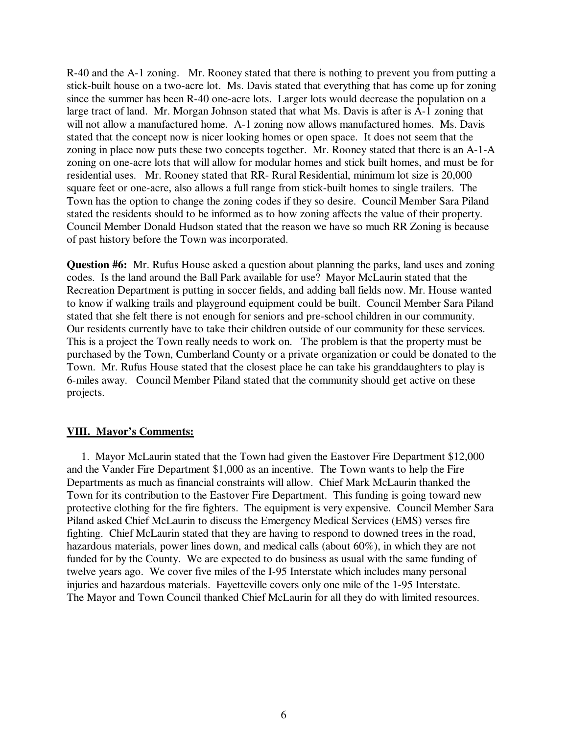R-40 and the A-1 zoning. Mr. Rooney stated that there is nothing to prevent you from putting a stick-built house on a two-acre lot. Ms. Davis stated that everything that has come up for zoning since the summer has been R-40 one-acre lots. Larger lots would decrease the population on a large tract of land. Mr. Morgan Johnson stated that what Ms. Davis is after is A-1 zoning that will not allow a manufactured home. A-1 zoning now allows manufactured homes. Ms. Davis stated that the concept now is nicer looking homes or open space. It does not seem that the zoning in place now puts these two concepts together. Mr. Rooney stated that there is an A-1-A zoning on one-acre lots that will allow for modular homes and stick built homes, and must be for residential uses. Mr. Rooney stated that RR- Rural Residential, minimum lot size is 20,000 square feet or one-acre, also allows a full range from stick-built homes to single trailers. The Town has the option to change the zoning codes if they so desire. Council Member Sara Piland stated the residents should to be informed as to how zoning affects the value of their property. Council Member Donald Hudson stated that the reason we have so much RR Zoning is because of past history before the Town was incorporated.

**Question #6:** Mr. Rufus House asked a question about planning the parks, land uses and zoning codes. Is the land around the Ball Park available for use? Mayor McLaurin stated that the Recreation Department is putting in soccer fields, and adding ball fields now. Mr. House wanted to know if walking trails and playground equipment could be built. Council Member Sara Piland stated that she felt there is not enough for seniors and pre-school children in our community. Our residents currently have to take their children outside of our community for these services. This is a project the Town really needs to work on. The problem is that the property must be purchased by the Town, Cumberland County or a private organization or could be donated to the Town. Mr. Rufus House stated that the closest place he can take his granddaughters to play is 6-miles away. Council Member Piland stated that the community should get active on these projects.

# **VIII. Mayor's Comments:**

 1. Mayor McLaurin stated that the Town had given the Eastover Fire Department \$12,000 and the Vander Fire Department \$1,000 as an incentive. The Town wants to help the Fire Departments as much as financial constraints will allow. Chief Mark McLaurin thanked the Town for its contribution to the Eastover Fire Department. This funding is going toward new protective clothing for the fire fighters. The equipment is very expensive. Council Member Sara Piland asked Chief McLaurin to discuss the Emergency Medical Services (EMS) verses fire fighting. Chief McLaurin stated that they are having to respond to downed trees in the road, hazardous materials, power lines down, and medical calls (about 60%), in which they are not funded for by the County. We are expected to do business as usual with the same funding of twelve years ago. We cover five miles of the I-95 Interstate which includes many personal injuries and hazardous materials. Fayetteville covers only one mile of the 1-95 Interstate. The Mayor and Town Council thanked Chief McLaurin for all they do with limited resources.